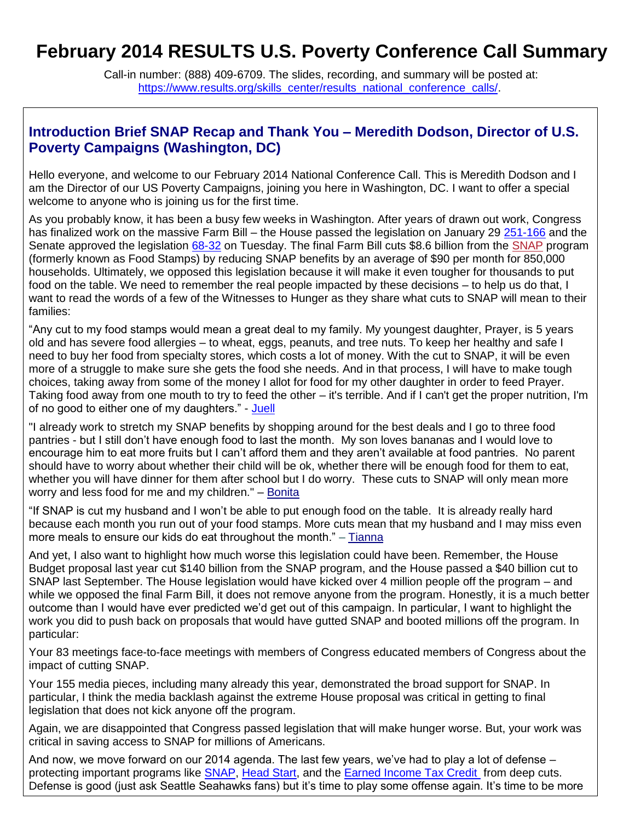# **February 2014 RESULTS U.S. Poverty Conference Call Summary**

Call-in number: (888) 409-6709. The slides, recording, and summary will be posted at: [https://www.results.org/skills\\_center/results\\_national\\_conference\\_calls/.](https://www.results.org/skills_center/results_national_conference_calls/)

#### **Introduction Brief SNAP Recap and Thank You – Meredith Dodson, Director of U.S. Poverty Campaigns (Washington, DC)**

Hello everyone, and welcome to our February 2014 National Conference Call. This is Meredith Dodson and I am the Director of our US Poverty Campaigns, joining you here in Washington, DC. I want to offer a special welcome to anyone who is joining us for the first time.

As you probably know, it has been a busy few weeks in Washington. After years of drawn out work, Congress has finalized work on the massive Farm Bill – the House passed the legislation on January 29 [251-166](http://capwiz.com/results/issues/votes/?votenum=31&chamber=H&congress=1132) and the Senate approved the legislation [68-32](http://capwiz.com/results/issues/votes/?votenum=21&chamber=S&congress=1132) on Tuesday. The final Farm Bill cuts \$8.6 billion from the [SNAP](http://www.results.org/issues/supplemental_nutrition_assistance_program/) program (formerly known as Food Stamps) by reducing SNAP benefits by an average of \$90 per month for 850,000 households. Ultimately, we opposed this legislation because it will make it even tougher for thousands to put food on the table. We need to remember the real people impacted by these decisions – to help us do that, I want to read the words of a few of the Witnesses to Hunger as they share what cuts to SNAP will mean to their families:

"Any cut to my food stamps would mean a great deal to my family. My youngest daughter, Prayer, is 5 years old and has severe food allergies – to wheat, eggs, peanuts, and tree nuts. To keep her healthy and safe I need to buy her food from specialty stores, which costs a lot of money. With the cut to SNAP, it will be even more of a struggle to make sure she gets the food she needs. And in that process, I will have to make tough choices, taking away from some of the money I allot for food for my other daughter in order to feed Prayer. Taking food away from one mouth to try to feed the other – it's terrible. And if I can't get the proper nutrition, I'm of no good to either one of my daughters." - [Juell](http://www.centerforhungerfreecommunities.org/our-projects/witnesses-hunger/meet-the-real-experts/juell-f)

"I already work to stretch my SNAP benefits by shopping around for the best deals and I go to three food pantries - but I still don't have enough food to last the month. My son loves bananas and I would love to encourage him to eat more fruits but I can't afford them and they aren't available at food pantries. No parent should have to worry about whether their child will be ok, whether there will be enough food for them to eat, whether you will have dinner for them after school but I do worry. These cuts to SNAP will only mean more worry and less food for me and my children." – [Bonita](http://www.centerforhungerfreecommunities.org/our-projects/witnesses-hunger/meet-the-real-experts/bonita-c)

"If SNAP is cut my husband and I won't be able to put enough food on the table. It is already really hard because each month you run out of your food stamps. More cuts mean that my husband and I may miss even more meals to ensure our kids do eat throughout the month." – [Tianna](http://www.centerforhungerfreecommunities.org/our-projects/witnesses-hunger/meet-the-real-experts/tianna-g)

And yet, I also want to highlight how much worse this legislation could have been. Remember, the House Budget proposal last year cut \$140 billion from the SNAP program, and the House passed a \$40 billion cut to SNAP last September. The House legislation would have kicked over 4 million people off the program – and while we opposed the final Farm Bill, it does not remove anyone from the program. Honestly, it is a much better outcome than I would have ever predicted we'd get out of this campaign. In particular, I want to highlight the work you did to push back on proposals that would have gutted SNAP and booted millions off the program. In particular:

Your 83 meetings face-to-face meetings with members of Congress educated members of Congress about the impact of cutting SNAP.

Your 155 media pieces, including many already this year, demonstrated the broad support for SNAP. In particular, I think the media backlash against the extreme House proposal was critical in getting to final legislation that does not kick anyone off the program.

Again, we are disappointed that Congress passed legislation that will make hunger worse. But, your work was critical in saving access to SNAP for millions of Americans.

And now, we move forward on our 2014 agenda. The last few years, we've had to play a lot of defense – protecting important programs like **SNAP**, [Head Start,](http://www.development.results.org/issues/head_start/) and the [Earned Income Tax Credit](http://www.results.org/issues/earned_income_tax_credit/) from deep cuts. Defense is good (just ask Seattle Seahawks fans) but it's time to play some offense again. It's time to be more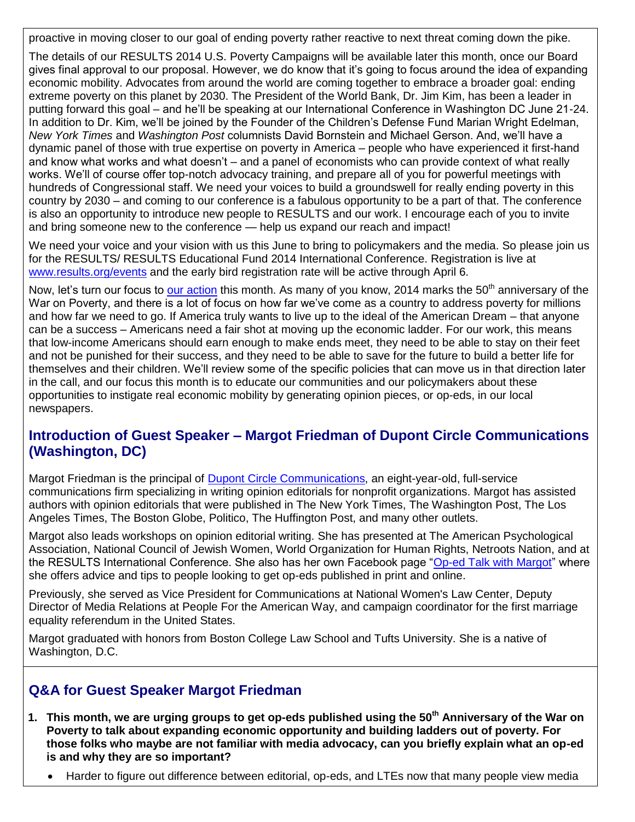proactive in moving closer to our goal of ending poverty rather reactive to next threat coming down the pike.

The details of our RESULTS 2014 U.S. Poverty Campaigns will be available later this month, once our Board gives final approval to our proposal. However, we do know that it's going to focus around the idea of expanding economic mobility. Advocates from around the world are coming together to embrace a broader goal: ending extreme poverty on this planet by 2030. The President of the World Bank, Dr. Jim Kim, has been a leader in putting forward this goal – and he'll be speaking at our International Conference in Washington DC June 21-24. In addition to Dr. Kim, we'll be joined by the Founder of the Children's Defense Fund Marian Wright Edelman, *New York Times* and *Washington Post* columnists David Bornstein and Michael Gerson. And, we'll have a dynamic panel of those with true expertise on poverty in America – people who have experienced it first-hand and know what works and what doesn't – and a panel of economists who can provide context of what really works. We'll of course offer top-notch advocacy training, and prepare all of you for powerful meetings with hundreds of Congressional staff. We need your voices to build a groundswell for really ending poverty in this country by 2030 – and coming to our conference is a fabulous opportunity to be a part of that. The conference is also an opportunity to introduce new people to RESULTS and our work. I encourage each of you to invite and bring someone new to the conference — help us expand our reach and impact!

We need your voice and your vision with us this June to bring to policymakers and the media. So please join us for the RESULTS/ RESULTS Educational Fund 2014 International Conference. Registration is live at [www.results.org/events](http://www.results.org/events) and the early bird registration rate will be active through April 6.

Now, let's turn our focus to [our action](http://www.results.org/take_action/february_2014_u.s._poverty_action/) this month. As many of you know, 2014 marks the 50<sup>th</sup> anniversary of the War on Poverty, and there is a lot of focus on how far we've come as a country to address poverty for millions and how far we need to go. If America truly wants to live up to the ideal of the American Dream – that anyone can be a success – Americans need a fair shot at moving up the economic ladder. For our work, this means that low-income Americans should earn enough to make ends meet, they need to be able to stay on their feet and not be punished for their success, and they need to be able to save for the future to build a better life for themselves and their children. We'll review some of the specific policies that can move us in that direction later in the call, and our focus this month is to educate our communities and our policymakers about these opportunities to instigate real economic mobility by generating opinion pieces, or op-eds, in our local newspapers.

### **Introduction of Guest Speaker – Margot Friedman of Dupont Circle Communications (Washington, DC)**

Margot Friedman is the principal of [Dupont Circle Communications,](http://www.dupontcirclecommunications.com/) an eight-year-old, full-service communications firm specializing in writing opinion editorials for nonprofit organizations. Margot has assisted authors with opinion editorials that were published in The New York Times, The Washington Post, The Los Angeles Times, The Boston Globe, Politico, The Huffington Post, and many other outlets.

Margot also leads workshops on opinion editorial writing. She has presented at The American Psychological Association, National Council of Jewish Women, World Organization for Human Rights, Netroots Nation, and at the RESULTS International Conference. She also has her own Facebook page ["Op-ed Talk with Margot"](https://www.facebook.com/pages/Op-Ed-Talk-With-Margot/145509165479393) where she offers advice and tips to people looking to get op-eds published in print and online.

Previously, she served as Vice President for Communications at National Women's Law Center, Deputy Director of Media Relations at People For the American Way, and campaign coordinator for the first marriage equality referendum in the United States.

Margot graduated with honors from Boston College Law School and Tufts University. She is a native of Washington, D.C.

### **Q&A for Guest Speaker Margot Friedman**

- **1. This month, we are urging groups to get op-eds published using the 50th Anniversary of the War on Poverty to talk about expanding economic opportunity and building ladders out of poverty. For those folks who maybe are not familiar with media advocacy, can you briefly explain what an op-ed is and why they are so important?**
	- Harder to figure out difference between editorial, op-eds, and LTEs now that many people view media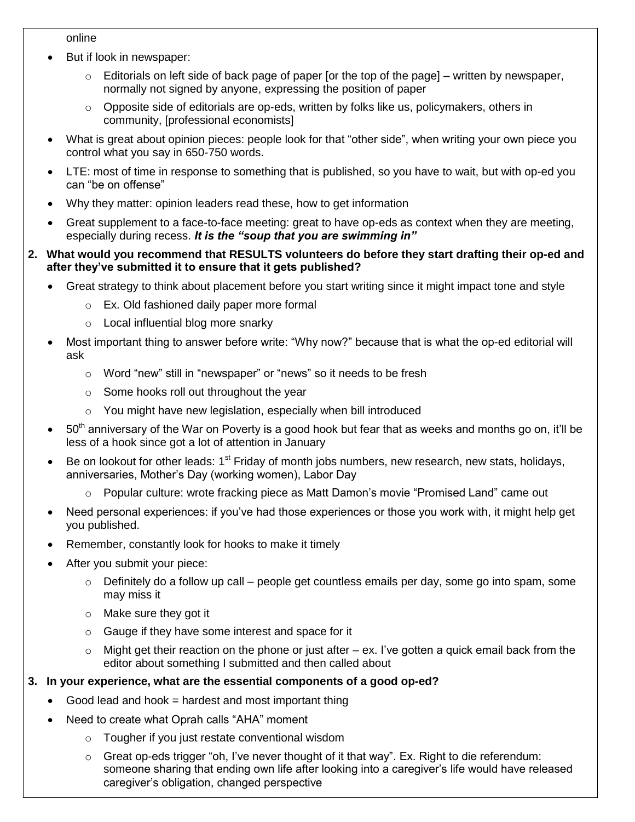#### online

- But if look in newspaper:
	- $\circ$  Editorials on left side of back page of paper [or the top of the page] written by newspaper, normally not signed by anyone, expressing the position of paper
	- $\circ$  Opposite side of editorials are op-eds, written by folks like us, policymakers, others in community, [professional economists]
- What is great about opinion pieces: people look for that "other side", when writing your own piece you control what you say in 650-750 words.
- LTE: most of time in response to something that is published, so you have to wait, but with op-ed you can "be on offense"
- Why they matter: opinion leaders read these, how to get information
- Great supplement to a face-to-face meeting: great to have op-eds as context when they are meeting, especially during recess. *It is the "soup that you are swimming in"*
- **2. What would you recommend that RESULTS volunteers do before they start drafting their op-ed and after they've submitted it to ensure that it gets published?**
	- Great strategy to think about placement before you start writing since it might impact tone and style
		- o Ex. Old fashioned daily paper more formal
		- o Local influential blog more snarky
	- Most important thing to answer before write: "Why now?" because that is what the op-ed editorial will ask
		- o Word "new" still in "newspaper" or "news" so it needs to be fresh
		- o Some hooks roll out throughout the year
		- o You might have new legislation, especially when bill introduced
	- 50<sup>th</sup> anniversary of the War on Poverty is a good hook but fear that as weeks and months go on, it'll be less of a hook since got a lot of attention in January
	- Be on lookout for other leads:  $1<sup>st</sup>$  Friday of month jobs numbers, new research, new stats, holidays, anniversaries, Mother's Day (working women), Labor Day
		- o Popular culture: wrote fracking piece as Matt Damon's movie "Promised Land" came out
	- Need personal experiences: if you've had those experiences or those you work with, it might help get you published.
	- Remember, constantly look for hooks to make it timely
	- After you submit your piece:
		- o Definitely do a follow up call people get countless emails per day, some go into spam, some may miss it
		- o Make sure they got it
		- o Gauge if they have some interest and space for it
		- $\circ$  Might get their reaction on the phone or just after ex. I've gotten a quick email back from the editor about something I submitted and then called about

#### **3. In your experience, what are the essential components of a good op-ed?**

- Good lead and hook = hardest and most important thing
- Need to create what Oprah calls "AHA" moment
	- o Tougher if you just restate conventional wisdom
	- $\circ$  Great op-eds trigger "oh, I've never thought of it that way". Ex. Right to die referendum: someone sharing that ending own life after looking into a caregiver's life would have released caregiver's obligation, changed perspective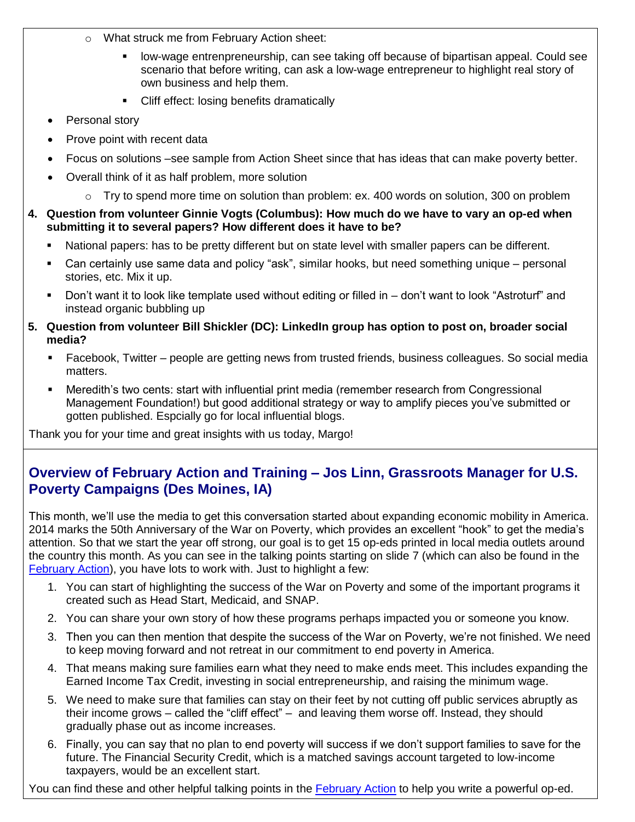- o What struck me from February Action sheet:
	- low-wage entrenpreneurship, can see taking off because of bipartisan appeal. Could see scenario that before writing, can ask a low-wage entrepreneur to highlight real story of own business and help them.
	- Cliff effect: losing benefits dramatically
- Personal story
- Prove point with recent data
- Focus on solutions –see sample from Action Sheet since that has ideas that can make poverty better.
- Overall think of it as half problem, more solution
	- $\circ$  Try to spend more time on solution than problem: ex. 400 words on solution, 300 on problem
- **4. Question from volunteer Ginnie Vogts (Columbus): How much do we have to vary an op-ed when submitting it to several papers? How different does it have to be?** 
	- National papers: has to be pretty different but on state level with smaller papers can be different.
	- Can certainly use same data and policy "ask", similar hooks, but need something unique personal stories, etc. Mix it up.
	- Don't want it to look like template used without editing or filled in don't want to look "Astroturf" and instead organic bubbling up
- **5. Question from volunteer Bill Shickler (DC): LinkedIn group has option to post on, broader social media?** 
	- Facebook, Twitter people are getting news from trusted friends, business colleagues. So social media matters.
	- Meredith's two cents: start with influential print media (remember research from Congressional Management Foundation!) but good additional strategy or way to amplify pieces you've submitted or gotten published. Espcially go for local influential blogs.

Thank you for your time and great insights with us today, Margo!

### **Overview of February Action and Training – Jos Linn, Grassroots Manager for U.S. Poverty Campaigns (Des Moines, IA)**

This month, we'll use the media to get this conversation started about expanding economic mobility in America. 2014 marks the 50th Anniversary of the War on Poverty, which provides an excellent "hook" to get the media's attention. So that we start the year off strong, our goal is to get 15 op-eds printed in local media outlets around the country this month. As you can see in the talking points starting on slide 7 (which can also be found in the [February Action\)](http://www.results.org/take_action/february_2014_u.s._poverty_action/), you have lots to work with. Just to highlight a few:

- 1. You can start of highlighting the success of the War on Poverty and some of the important programs it created such as Head Start, Medicaid, and SNAP.
- 2. You can share your own story of how these programs perhaps impacted you or someone you know.
- 3. Then you can then mention that despite the success of the War on Poverty, we're not finished. We need to keep moving forward and not retreat in our commitment to end poverty in America.
- 4. That means making sure families earn what they need to make ends meet. This includes expanding the Earned Income Tax Credit, investing in social entrepreneurship, and raising the minimum wage.
- 5. We need to make sure that families can stay on their feet by not cutting off public services abruptly as their income grows – called the "cliff effect" – and leaving them worse off. Instead, they should gradually phase out as income increases.
- 6. Finally, you can say that no plan to end poverty will success if we don't support families to save for the future. The Financial Security Credit, which is a matched savings account targeted to low-income taxpayers, would be an excellent start.

You can find these and other helpful talking points in the [February Action](http://www.results.org/take_action/february_2014_u.s._poverty_action/) to help you write a powerful op-ed.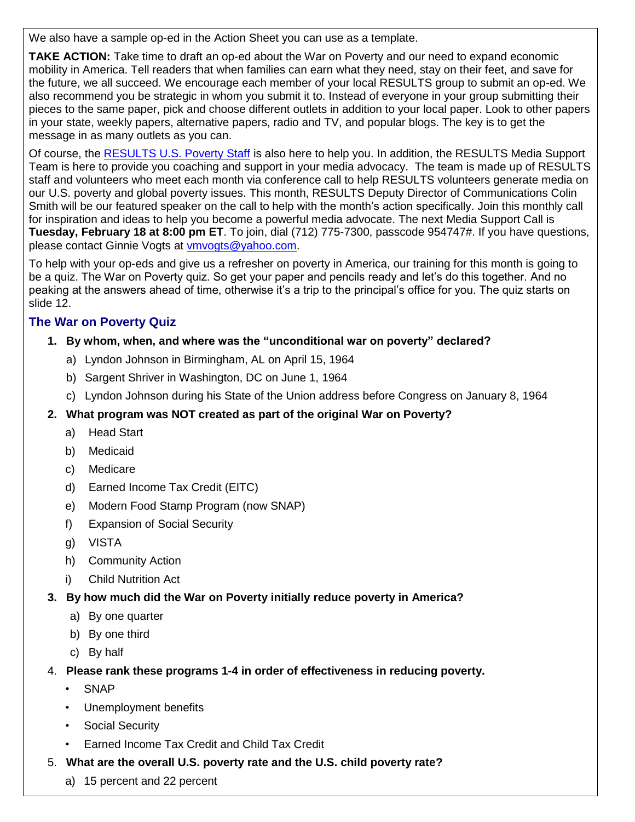We also have a sample op-ed in the Action Sheet you can use as a template.

**TAKE ACTION:** Take time to draft an op-ed about the War on Poverty and our need to expand economic mobility in America. Tell readers that when families can earn what they need, stay on their feet, and save for the future, we all succeed. We encourage each member of your local RESULTS group to submit an op-ed. We also recommend you be strategic in whom you submit it to. Instead of everyone in your group submitting their pieces to the same paper, pick and choose different outlets in addition to your local paper. Look to other papers in your state, weekly papers, alternative papers, radio and TV, and popular blogs. The key is to get the message in as many outlets as you can.

Of course, the [RESULTS U.S. Poverty Staff](http://www.results.org/take_action/u.s._poverty_weekly_update_february_4_2014/#USPStaff) is also here to help you. In addition, the RESULTS Media Support Team is here to provide you coaching and support in your media advocacy. The team is made up of RESULTS staff and volunteers who meet each month via conference call to help RESULTS volunteers generate media on our U.S. poverty and global poverty issues. This month, RESULTS Deputy Director of Communications Colin Smith will be our featured speaker on the call to help with the month's action specifically. Join this monthly call for inspiration and ideas to help you become a powerful media advocate. The next Media Support Call is **Tuesday, February 18 at 8:00 pm ET**. To join, dial (712) 775-7300, passcode 954747#. If you have questions, please contact Ginnie Vogts at [vmvogts@yahoo.com.](mailto:vmvogts@yahoo.com)

To help with your op-eds and give us a refresher on poverty in America, our training for this month is going to be a quiz. The War on Poverty quiz. So get your paper and pencils ready and let's do this together. And no peaking at the answers ahead of time, otherwise it's a trip to the principal's office for you. The quiz starts on slide 12.

#### **The War on Poverty Quiz**

#### **1. By whom, when, and where was the "unconditional war on poverty" declared?**

- a) Lyndon Johnson in Birmingham, AL on April 15, 1964
- b) Sargent Shriver in Washington, DC on June 1, 1964
- c) Lyndon Johnson during his State of the Union address before Congress on January 8, 1964

#### **2. What program was NOT created as part of the original War on Poverty?**

- a) Head Start
- b) Medicaid
- c) Medicare
- d) Earned Income Tax Credit (EITC)
- e) Modern Food Stamp Program (now SNAP)
- f) Expansion of Social Security
- g) VISTA
- h) Community Action
- i) Child Nutrition Act
- **3. By how much did the War on Poverty initially reduce poverty in America?**
	- a) By one quarter
	- b) By one third
	- c) By half
- 4. **Please rank these programs 1-4 in order of effectiveness in reducing poverty.**
	- SNAP
	- Unemployment benefits
	- Social Security
	- Earned Income Tax Credit and Child Tax Credit
- 5. **What are the overall U.S. poverty rate and the U.S. child poverty rate?**
	- a) 15 percent and 22 percent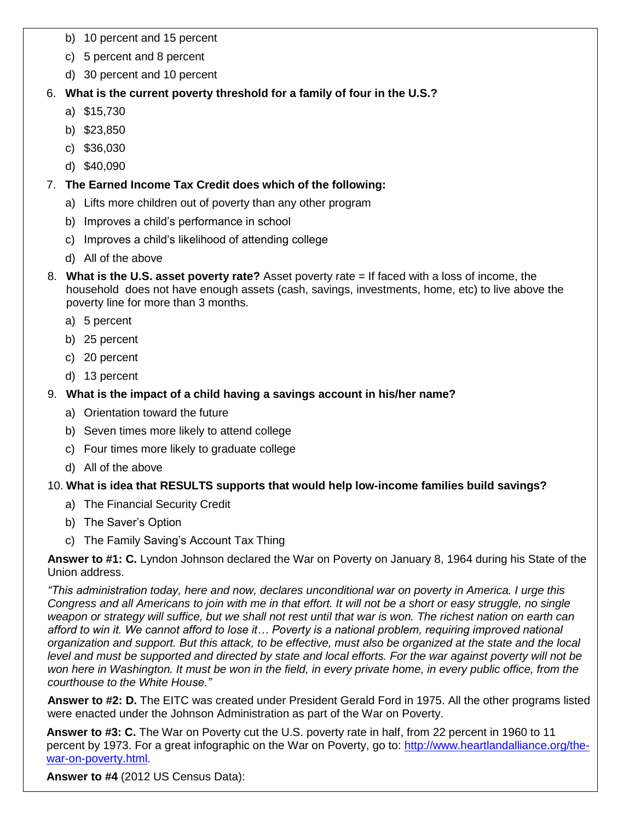- b) 10 percent and 15 percent
- c) 5 percent and 8 percent
- d) 30 percent and 10 percent

#### 6. **What is the current poverty threshold for a family of four in the U.S.?**

- a) \$15,730
- b) \$23,850
- c) \$36,030
- d) \$40,090

#### 7. **The Earned Income Tax Credit does which of the following:**

- a) Lifts more children out of poverty than any other program
- b) Improves a child's performance in school
- c) Improves a child's likelihood of attending college
- d) All of the above
- 8. **What is the U.S. asset poverty rate?** Asset poverty rate = If faced with a loss of income, the household does not have enough assets (cash, savings, investments, home, etc) to live above the poverty line for more than 3 months.
	- a) 5 percent
	- b) 25 percent
	- c) 20 percent
	- d) 13 percent

#### 9. **What is the impact of a child having a savings account in his/her name?**

- a) Orientation toward the future
- b) Seven times more likely to attend college
- c) Four times more likely to graduate college
- d) All of the above

#### 10. **What is idea that RESULTS supports that would help low-income families build savings?**

- a) The Financial Security Credit
- b) The Saver's Option
- c) The Family Saving's Account Tax Thing

**Answer to #1: C.** Lyndon Johnson declared the War on Poverty on January 8, 1964 during his State of the Union address.

*"This administration today, here and now, declares unconditional war on poverty in America. I urge this Congress and all Americans to join with me in that effort. It will not be a short or easy struggle, no single weapon or strategy will suffice, but we shall not rest until that war is won. The richest nation on earth can afford to win it. We cannot afford to lose it… Poverty is a national problem, requiring improved national organization and support. But this attack, to be effective, must also be organized at the state and the local level and must be supported and directed by state and local efforts. For the war against poverty will not be* won here in Washington. It must be won in the field, in every private home, in every public office, from the *courthouse to the White House."*

**Answer to #2: D.** The EITC was created under President Gerald Ford in 1975. All the other programs listed were enacted under the Johnson Administration as part of the War on Poverty.

**Answer to #3: C.** The War on Poverty cut the U.S. poverty rate in half, from 22 percent in 1960 to 11 percent by 1973. For a great infographic on the War on Poverty, go to: [http://www.heartlandalliance.org/the](http://www.heartlandalliance.org/the-war-on-poverty.html)[war-on-poverty.html.](http://www.heartlandalliance.org/the-war-on-poverty.html)

**Answer to #4** (2012 US Census Data):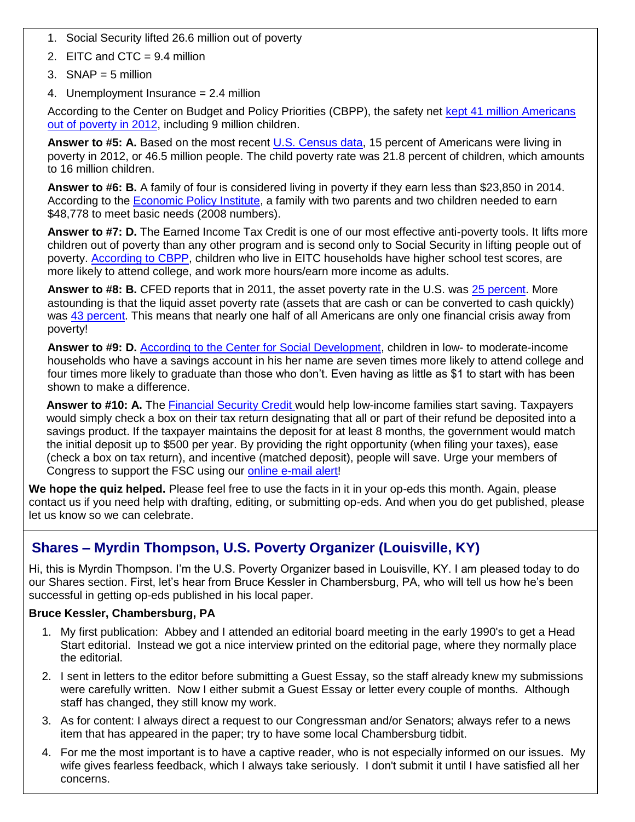- 1. Social Security lifted 26.6 million out of poverty
- 2. EITC and CTC = 9.4 million
- 3. SNAP =  $5$  million
- 4. Unemployment Insurance = 2.4 million

According to the Center on Budget and Policy Priorities (CBPP), the safety net [kept 41 million Americans](http://www.offthechartsblog.org/the-war-on-poverty-at-50-illustrating-the-safety-nets-success/)  [out of poverty in 2012,](http://www.offthechartsblog.org/the-war-on-poverty-at-50-illustrating-the-safety-nets-success/) including 9 million children.

**Answer to #5: A.** Based on the most recent [U.S. Census data,](http://www.census.gov/prod/2013pubs/p60-245.pdf) 15 percent of Americans were living in poverty in 2012, or 46.5 million people. The child poverty rate was 21.8 percent of children, which amounts to 16 million children.

**Answer to #6: B.** A family of four is considered living in poverty if they earn less than \$23,850 in 2014. According to the [Economic Policy Institute,](http://www.epi.org/publication/bp224/) a family with two parents and two children needed to earn \$48,778 to meet basic needs (2008 numbers).

**Answer to #7: D.** The Earned Income Tax Credit is one of our most effective anti-poverty tools. It lifts more children out of poverty than any other program and is second only to Social Security in lifting people out of poverty. [According to CBPP,](http://www.cbpp.org/cms/?fa=view&id=3793) children who live in EITC households have higher school test scores, are more likely to attend college, and work more hours/earn more income as adults.

**Answer to #8: B.** CFED reports that in 2011, the asset poverty rate in the U.S. was [25 percent.](http://scorecard.assetsandopportunity.org/2014/measure/asset-poverty-rate) More astounding is that the liquid asset poverty rate (assets that are cash or can be converted to cash quickly) was [43 percent.](http://scorecard.assetsandopportunity.org/2014/measure/liquid-asset-poverty-rate) This means that nearly one half of all Americans are only one financial crisis away from poverty!

**Answer to #9: D.** [According to the Center for Social Development,](http://csd.wustl.edu/Publications/Documents/WP11-33.pdf) children in low- to moderate-income households who have a savings account in his her name are seven times more likely to attend college and four times more likely to graduate than those who don't. Even having as little as \$1 to start with has been shown to make a difference.

Answer to #10: A. The [Financial Security Credit w](http://www.results.org/issues/the_savers_bonus/)ould help low-income families start saving. Taxpayers would simply check a box on their tax return designating that all or part of their refund be deposited into a savings product. If the taxpayer maintains the deposit for at least 8 months, the government would match the initial deposit up to \$500 per year. By providing the right opportunity (when filing your taxes), ease (check a box on tax return), and incentive (matched deposit), people will save. Urge your members of Congress to support the FSC using our [online e-mail alert!](http://capwiz.com/results/issues/alert/?alertid=62759846&MC_plugin=2201)

**We hope the quiz helped.** Please feel free to use the facts in it in your op-eds this month. Again, please contact us if you need help with drafting, editing, or submitting op-eds. And when you do get published, please let us know so we can celebrate.

### **Shares – Myrdin Thompson, U.S. Poverty Organizer (Louisville, KY)**

Hi, this is Myrdin Thompson. I'm the U.S. Poverty Organizer based in Louisville, KY. I am pleased today to do our Shares section. First, let's hear from Bruce Kessler in Chambersburg, PA, who will tell us how he's been successful in getting op-eds published in his local paper.

#### **Bruce Kessler, Chambersburg, PA**

- 1. My first publication: Abbey and I attended an editorial board meeting in the early 1990's to get a Head Start editorial. Instead we got a nice interview printed on the editorial page, where they normally place the editorial.
- 2. I sent in letters to the editor before submitting a Guest Essay, so the staff already knew my submissions were carefully written. Now I either submit a Guest Essay or letter every couple of months. Although staff has changed, they still know my work.
- 3. As for content: I always direct a request to our Congressman and/or Senators; always refer to a news item that has appeared in the paper; try to have some local Chambersburg tidbit.
- 4. For me the most important is to have a captive reader, who is not especially informed on our issues. My wife gives fearless feedback, which I always take seriously. I don't submit it until I have satisfied all her concerns.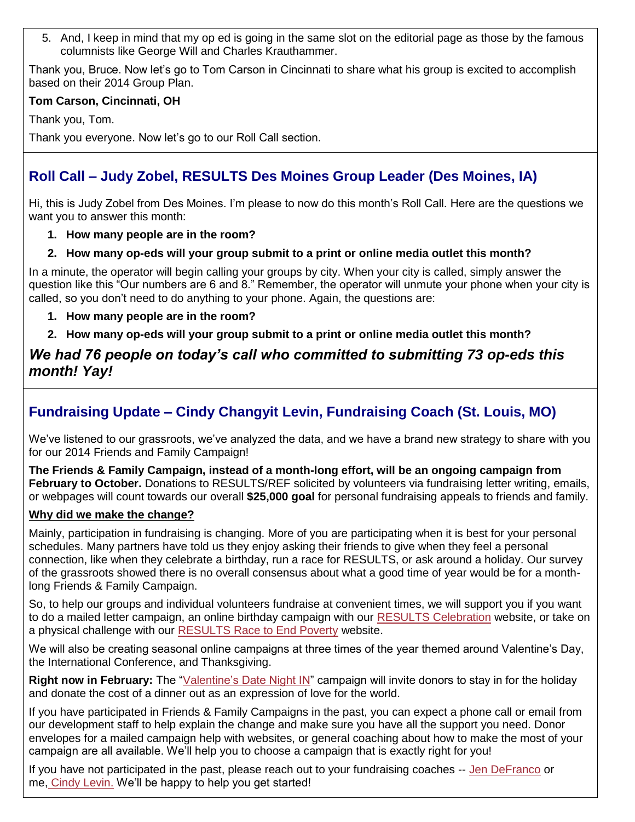5. And, I keep in mind that my op ed is going in the same slot on the editorial page as those by the famous columnists like George Will and Charles Krauthammer.

Thank you, Bruce. Now let's go to Tom Carson in Cincinnati to share what his group is excited to accomplish based on their 2014 Group Plan.

#### **Tom Carson, Cincinnati, OH**

Thank you, Tom.

Thank you everyone. Now let's go to our Roll Call section.

### **Roll Call – Judy Zobel, RESULTS Des Moines Group Leader (Des Moines, IA)**

Hi, this is Judy Zobel from Des Moines. I'm please to now do this month's Roll Call. Here are the questions we want you to answer this month:

#### **1. How many people are in the room?**

#### **2. How many op-eds will your group submit to a print or online media outlet this month?**

In a minute, the operator will begin calling your groups by city. When your city is called, simply answer the question like this "Our numbers are 6 and 8." Remember, the operator will unmute your phone when your city is called, so you don't need to do anything to your phone. Again, the questions are:

**1. How many people are in the room?** 

**2. How many op-eds will your group submit to a print or online media outlet this month?**

### *We had 76 people on today's call who committed to submitting 73 op-eds this month! Yay!*

## **Fundraising Update – Cindy Changyit Levin, Fundraising Coach (St. Louis, MO)**

We've listened to our grassroots, we've analyzed the data, and we have a brand new strategy to share with you for our 2014 Friends and Family Campaign!

**The Friends & Family Campaign, instead of a month-long effort, will be an ongoing campaign from February to October.** Donations to RESULTS/REF solicited by volunteers via fundraising letter writing, emails, or webpages will count towards our overall **\$25,000 goal** for personal fundraising appeals to friends and family.

#### **Why did we make the change?**

Mainly, participation in fundraising is changing. More of you are participating when it is best for your personal schedules. Many partners have told us they enjoy asking their friends to give when they feel a personal connection, like when they celebrate a birthday, run a race for RESULTS, or ask around a holiday. Our survey of the grassroots showed there is no overall consensus about what a good time of year would be for a monthlong Friends & Family Campaign.

So, to help our groups and individual volunteers fundraise at convenient times, we will support you if you want to do a mailed letter campaign, an online birthday campaign with our [RESULTS Celebration](https://friendraising.towercare.com/Markslist/site/displaySite.do?siteIdCode=0LZQHAYQ) website, or take on a physical challenge with our [RESULTS Race to End Poverty](https://friendraising.towercare.com/Markslist/site/displaySite.do?siteIdCode=SINEWEX2) website.

We will also be creating seasonal online campaigns at three times of the year themed around Valentine's Day, the International Conference, and Thanksgiving.

Right now in February: The ["Valentine's Date Night IN"](http://www.tinyurl.com/2014RESULTSLove) campaign will invite donors to stay in for the holiday and donate the cost of a dinner out as an expression of love for the world.

If you have participated in Friends & Family Campaigns in the past, you can expect a phone call or email from our development staff to help explain the change and make sure you have all the support you need. Donor envelopes for a mailed campaign help with websites, or general coaching about how to make the most of your campaign are all available. We'll help you to choose a campaign that is exactly right for you!

If you have not participated in the past, please reach out to your fundraising coaches -- [Jen DeFranco](mailto:Jdefranco@results.org?subject=F%26F%20campaign) or me, [Cindy Levin.](mailto:clevin@results.org?subject=F%26F%20Campaign) We'll be happy to help you get started!